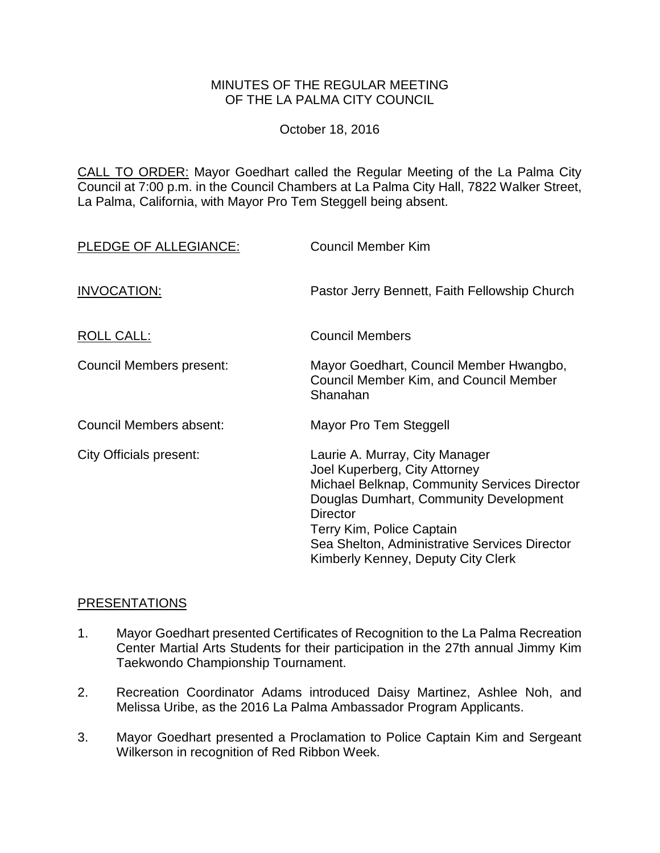#### MINUTES OF THE REGULAR MEETING OF THE LA PALMA CITY COUNCIL

October 18, 2016

CALL TO ORDER: Mayor Goedhart called the Regular Meeting of the La Palma City Council at 7:00 p.m. in the Council Chambers at La Palma City Hall, 7822 Walker Street, La Palma, California, with Mayor Pro Tem Steggell being absent.

| PLEDGE OF ALLEGIANCE:           | <b>Council Member Kim</b>                                                                                                                                                                                                                                                                        |
|---------------------------------|--------------------------------------------------------------------------------------------------------------------------------------------------------------------------------------------------------------------------------------------------------------------------------------------------|
| INVOCATION:                     | Pastor Jerry Bennett, Faith Fellowship Church                                                                                                                                                                                                                                                    |
| <b>ROLL CALL:</b>               | <b>Council Members</b>                                                                                                                                                                                                                                                                           |
| <b>Council Members present:</b> | Mayor Goedhart, Council Member Hwangbo,<br>Council Member Kim, and Council Member<br>Shanahan                                                                                                                                                                                                    |
| Council Members absent:         | Mayor Pro Tem Steggell                                                                                                                                                                                                                                                                           |
| City Officials present:         | Laurie A. Murray, City Manager<br>Joel Kuperberg, City Attorney<br>Michael Belknap, Community Services Director<br>Douglas Dumhart, Community Development<br><b>Director</b><br>Terry Kim, Police Captain<br>Sea Shelton, Administrative Services Director<br>Kimberly Kenney, Deputy City Clerk |

### [PRESENTATIONS](http://lapalma.granicus.com/MediaPlayer.php?view_id=&clip_id=1038&meta_id=136816)

- 1. [Mayor Goedhart presented Certificates of Recognition to the La Palma Recreation](http://lapalma.granicus.com/MediaPlayer.php?view_id=&clip_id=1038&meta_id=136818)  [Center Martial Arts Students for their participation in the 27th annual Jimmy Kim](http://lapalma.granicus.com/MediaPlayer.php?view_id=&clip_id=1038&meta_id=136818)  [Taekwondo Championship Tournament.](http://lapalma.granicus.com/MediaPlayer.php?view_id=&clip_id=1038&meta_id=136818)
- 2. [Recreation Coordinator Adams introduced Daisy Martinez, Ashlee Noh, and](http://lapalma.granicus.com/MediaPlayer.php?view_id=&clip_id=1038&meta_id=136820)  [Melissa Uribe, as the 2016 La Palma Ambassador Program Applicants.](http://lapalma.granicus.com/MediaPlayer.php?view_id=&clip_id=1038&meta_id=136820)
- 3. [Mayor Goedhart presented a Proclamation to Police Captain Kim and Sergeant](http://lapalma.granicus.com/MediaPlayer.php?view_id=&clip_id=1038&meta_id=136821)  [Wilkerson in recognition of Red Ribbon Week.](http://lapalma.granicus.com/MediaPlayer.php?view_id=&clip_id=1038&meta_id=136821)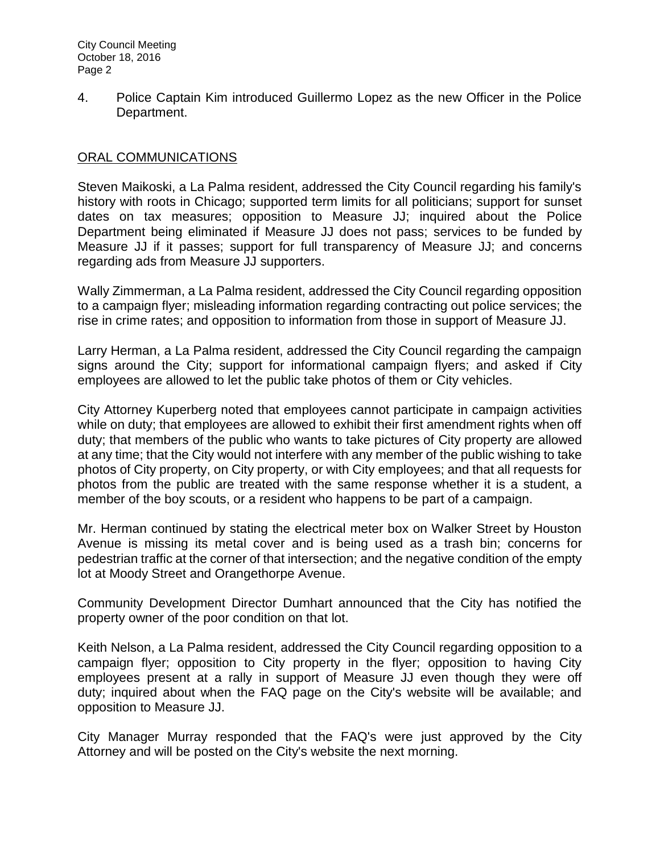4. [Police Captain Kim introduced Guillermo Lopez as the new Officer in the Police](http://lapalma.granicus.com/MediaPlayer.php?view_id=&clip_id=1038&meta_id=136822)  [Department.](http://lapalma.granicus.com/MediaPlayer.php?view_id=&clip_id=1038&meta_id=136822)

## [ORAL COMMUNICATIONS](http://lapalma.granicus.com/MediaPlayer.php?view_id=&clip_id=1038&meta_id=136823)

Steven Maikoski, a La Palma resident, addressed the City Council regarding his family's history with roots in Chicago; supported term limits for all politicians; support for sunset dates on tax measures; opposition to Measure JJ; inquired about the Police Department being eliminated if Measure JJ does not pass; services to be funded by Measure JJ if it passes; support for full transparency of Measure JJ; and concerns regarding ads from Measure JJ supporters.

Wally Zimmerman, a La Palma resident, addressed the City Council regarding opposition to a campaign flyer; misleading information regarding contracting out police services; the rise in crime rates; and opposition to information from those in support of Measure JJ.

Larry Herman, a La Palma resident, addressed the City Council regarding the campaign signs around the City; support for informational campaign flyers; and asked if City employees are allowed to let the public take photos of them or City vehicles.

City Attorney Kuperberg noted that employees cannot participate in campaign activities while on duty; that employees are allowed to exhibit their first amendment rights when off duty; that members of the public who wants to take pictures of City property are allowed at any time; that the City would not interfere with any member of the public wishing to take photos of City property, on City property, or with City employees; and that all requests for photos from the public are treated with the same response whether it is a student, a member of the boy scouts, or a resident who happens to be part of a campaign.

Mr. Herman continued by stating the electrical meter box on Walker Street by Houston Avenue is missing its metal cover and is being used as a trash bin; concerns for pedestrian traffic at the corner of that intersection; and the negative condition of the empty lot at Moody Street and Orangethorpe Avenue.

Community Development Director Dumhart announced that the City has notified the property owner of the poor condition on that lot.

Keith Nelson, a La Palma resident, addressed the City Council regarding opposition to a campaign flyer; opposition to City property in the flyer; opposition to having City employees present at a rally in support of Measure JJ even though they were off duty; inquired about when the FAQ page on the City's website will be available; and opposition to Measure JJ.

City Manager Murray responded that the FAQ's were just approved by the City Attorney and will be posted on the City's website the next morning.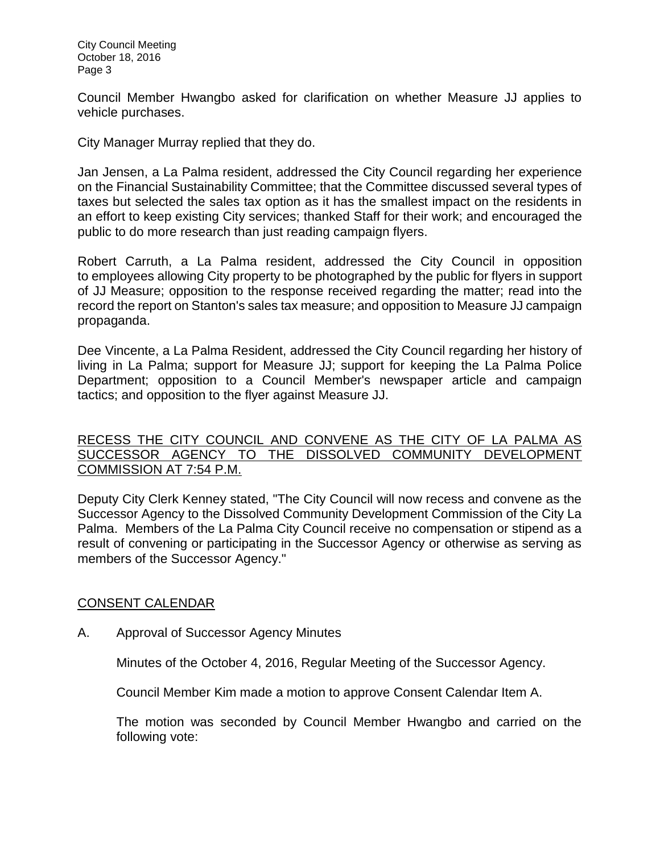Council Member Hwangbo asked for clarification on whether Measure JJ applies to vehicle purchases.

City Manager Murray replied that they do.

Jan Jensen, a La Palma resident, addressed the City Council regarding her experience on the Financial Sustainability Committee; that the Committee discussed several types of taxes but selected the sales tax option as it has the smallest impact on the residents in an effort to keep existing City services; thanked Staff for their work; and encouraged the public to do more research than just reading campaign flyers.

Robert Carruth, a La Palma resident, addressed the City Council in opposition to employees allowing City property to be photographed by the public for flyers in support of JJ Measure; opposition to the response received regarding the matter; read into the record the report on Stanton's sales tax measure; and opposition to Measure JJ campaign propaganda.

Dee Vincente, a La Palma Resident, addressed the City Council regarding her history of living in La Palma; support for Measure JJ; support for keeping the La Palma Police Department; opposition to a Council Member's newspaper article and campaign tactics; and opposition to the flyer against Measure JJ.

## [RECESS THE CITY COUNCIL AND CONVENE AS THE CITY OF LA PALMA AS](http://lapalma.granicus.com/MediaPlayer.php?view_id=&clip_id=1038&meta_id=136838)  [SUCCESSOR AGENCY TO THE DISSOLVED COMMUNITY DEVELOPMENT](http://lapalma.granicus.com/MediaPlayer.php?view_id=&clip_id=1038&meta_id=136838)  [COMMISSION AT 7:54 P.M.](http://lapalma.granicus.com/MediaPlayer.php?view_id=&clip_id=1038&meta_id=136838)

[Deputy City Clerk Kenney stated, "The City Council will now recess and convene as the](http://lapalma.granicus.com/MediaPlayer.php?view_id=&clip_id=1038&meta_id=136839)  [Successor Agency to the Dissolved Community Development Commission of the City La](http://lapalma.granicus.com/MediaPlayer.php?view_id=&clip_id=1038&meta_id=136839)  Palma. [Members of the La Palma City Council receive no compensation or stipend as a](http://lapalma.granicus.com/MediaPlayer.php?view_id=&clip_id=1038&meta_id=136839)  [result of convening or participating in the Successor Agency or otherwise as serving as](http://lapalma.granicus.com/MediaPlayer.php?view_id=&clip_id=1038&meta_id=136839)  [members of the Successor Agency."](http://lapalma.granicus.com/MediaPlayer.php?view_id=&clip_id=1038&meta_id=136839)

# [CONSENT CALENDAR](http://lapalma.granicus.com/MediaPlayer.php?view_id=&clip_id=1038&meta_id=136840)

A. [Approval of Successor Agency Minutes](http://lapalma.granicus.com/MediaPlayer.php?view_id=&clip_id=1038&meta_id=136841)

Minutes of the October 4, 2016, Regular Meeting of the Successor Agency.

Council Member Kim made a motion to approve Consent Calendar Item A.

The motion was seconded by Council Member Hwangbo and carried on the following vote: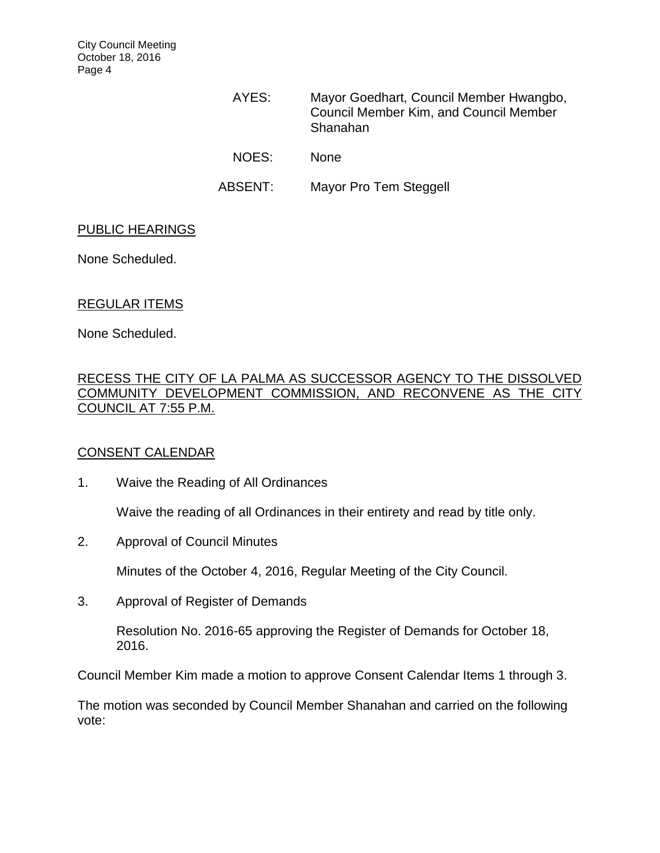City Council Meeting October 18, 2016 Page 4

> AYES: Mayor Goedhart, Council Member Hwangbo, Council Member Kim, and Council Member Shanahan NOES: None ABSENT: Mayor Pro Tem Steggell

#### PUBLIC HEARINGS

None Scheduled.

### REGULAR ITEMS

None Scheduled.

## [RECESS THE CITY OF LA PALMA AS SUCCESSOR AGENCY TO THE DISSOLVED](http://lapalma.granicus.com/MediaPlayer.php?view_id=&clip_id=1038&meta_id=136847)  [COMMUNITY DEVELOPMENT COMMISSION, AND RECONVENE AS THE CITY](http://lapalma.granicus.com/MediaPlayer.php?view_id=&clip_id=1038&meta_id=136847)  [COUNCIL AT 7:55 P.M.](http://lapalma.granicus.com/MediaPlayer.php?view_id=&clip_id=1038&meta_id=136847)

### [CONSENT CALENDAR](http://lapalma.granicus.com/MediaPlayer.php?view_id=&clip_id=1038&meta_id=136848)

1. Waive the Reading of All Ordinances

Waive the reading of all Ordinances in their entirety and read by title only.

2. Approval of Council Minutes

Minutes of the October 4, 2016, Regular Meeting of the City Council.

3. Approval of Register of Demands

Resolution No. 2016-65 approving the Register of Demands for October 18, 2016.

Council Member Kim made a motion to approve Consent Calendar Items 1 through 3.

The motion was seconded by Council Member Shanahan and carried on the following vote: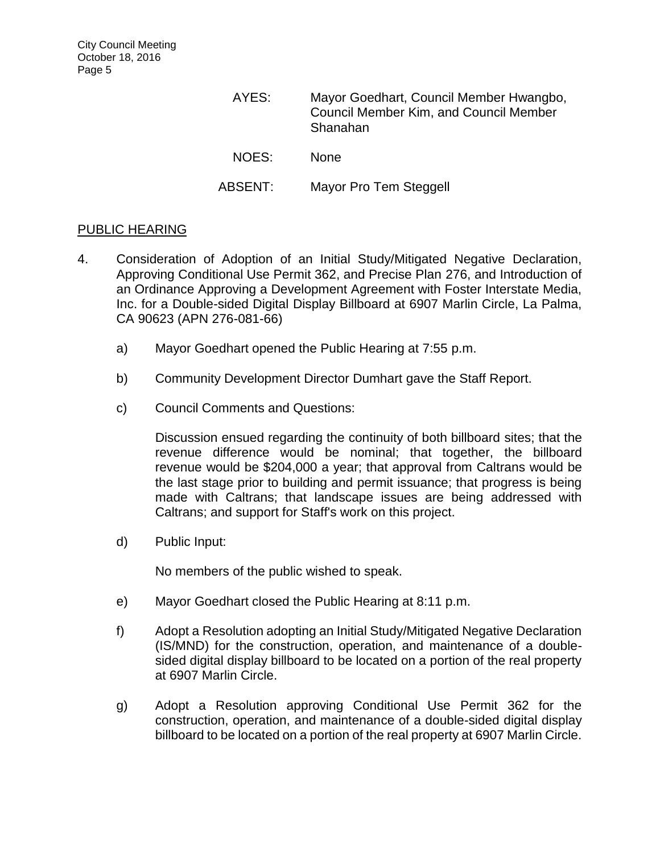| AYES:   | Mayor Goedhart, Council Member Hwangbo,<br><b>Council Member Kim, and Council Member</b><br>Shanahan |
|---------|------------------------------------------------------------------------------------------------------|
| NOES:   | <b>None</b>                                                                                          |
| ABSENT: | Mayor Pro Tem Steggell                                                                               |

### PUBLIC HEARING

- 4. [Consideration of Adoption of an Initial Study/Mitigated Negative Declaration,](http://lapalma.granicus.com/MediaPlayer.php?view_id=&clip_id=1038&meta_id=136856)  [Approving Conditional Use Permit 362, and Precise Plan 276, and Introduction of](http://lapalma.granicus.com/MediaPlayer.php?view_id=&clip_id=1038&meta_id=136856)  [an Ordinance Approving a Development Agreement with Foster Interstate Media,](http://lapalma.granicus.com/MediaPlayer.php?view_id=&clip_id=1038&meta_id=136856)  [Inc. for a Double-sided Digital Display Billboard at 6907 Marlin Circle, La Palma,](http://lapalma.granicus.com/MediaPlayer.php?view_id=&clip_id=1038&meta_id=136856)  [CA 90623 \(APN 276-081-66\)](http://lapalma.granicus.com/MediaPlayer.php?view_id=&clip_id=1038&meta_id=136856)
	- a) [Mayor Goedhart opened the Public Hearing at 7:55](http://lapalma.granicus.com/MediaPlayer.php?view_id=&clip_id=1038&meta_id=136857) p.m.
	- b) [Community Development Director Dumhart](http://lapalma.granicus.com/MediaPlayer.php?view_id=&clip_id=1038&meta_id=136858) gave the Staff Report.
	- c) [Council Comments and Questions:](http://lapalma.granicus.com/MediaPlayer.php?view_id=&clip_id=1038&meta_id=136859)

Discussion ensued regarding the continuity of both billboard sites; that the revenue difference would be nominal; that together, the billboard revenue would be \$204,000 a year; that approval from Caltrans would be the last stage prior to building and permit issuance; that progress is being made with Caltrans; that landscape issues are being addressed with Caltrans; and support for Staff's work on this project.

d) [Public Input:](http://lapalma.granicus.com/MediaPlayer.php?view_id=&clip_id=1038&meta_id=136861)

No members of the public wished to speak.

- e) [Mayor Goedhart closed the Public Hearing at 8:11 p.m.](http://lapalma.granicus.com/MediaPlayer.php?view_id=&clip_id=1038&meta_id=136863)
- f) Adopt a Resolution adopting an Initial Study/Mitigated Negative Declaration (IS/MND) for the construction, operation, and maintenance of a doublesided digital display billboard to be located on a portion of the real property at 6907 Marlin Circle.
- g) Adopt a Resolution approving Conditional Use Permit 362 for the construction, operation, and maintenance of a double-sided digital display billboard to be located on a portion of the real property at 6907 Marlin Circle.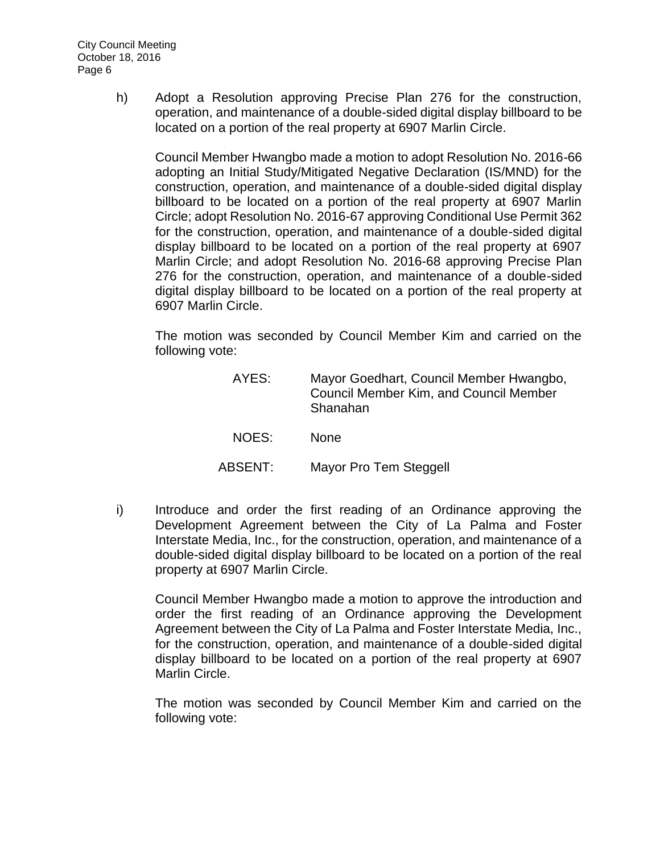h) Adopt a Resolution approving Precise Plan 276 for the construction, operation, and maintenance of a double-sided digital display billboard to be located on a portion of the real property at 6907 Marlin Circle.

Council Member Hwangbo made a motion to adopt Resolution No. 2016-66 adopting an Initial Study/Mitigated Negative Declaration (IS/MND) for the construction, operation, and maintenance of a double-sided digital display billboard to be located on a portion of the real property at 6907 Marlin Circle; adopt Resolution No. 2016-67 approving Conditional Use Permit 362 for the construction, operation, and maintenance of a double-sided digital display billboard to be located on a portion of the real property at 6907 Marlin Circle; and adopt Resolution No. 2016-68 approving Precise Plan 276 for the construction, operation, and maintenance of a double-sided digital display billboard to be located on a portion of the real property at 6907 Marlin Circle.

The motion was seconded by Council Member Kim and carried on the following vote:

| AYES:   | Mayor Goedhart, Council Member Hwangbo,<br>Council Member Kim, and Council Member<br>Shanahan |
|---------|-----------------------------------------------------------------------------------------------|
| NOES:   | <b>None</b>                                                                                   |
| ABSENT: | Mayor Pro Tem Steggell                                                                        |

i) Introduce and order the first reading of an Ordinance approving the [Development Agreement between the City of La Palma and Foster](http://lapalma.granicus.com/MediaPlayer.php?view_id=&clip_id=1038&meta_id=136867)  [Interstate Media, Inc., for the construction, operation, and maintenance of a](http://lapalma.granicus.com/MediaPlayer.php?view_id=&clip_id=1038&meta_id=136867)  [double-sided digital display billboard to be located on a portion of the real](http://lapalma.granicus.com/MediaPlayer.php?view_id=&clip_id=1038&meta_id=136867)  [property at 6907 Marlin Circle.](http://lapalma.granicus.com/MediaPlayer.php?view_id=&clip_id=1038&meta_id=136867)

Council Member Hwangbo made a motion to approve the introduction and order the first reading of an Ordinance approving the Development Agreement between the City of La Palma and Foster Interstate Media, Inc., for the construction, operation, and maintenance of a double-sided digital display billboard to be located on a portion of the real property at 6907 Marlin Circle.

The motion was seconded by Council Member Kim and carried on the following vote: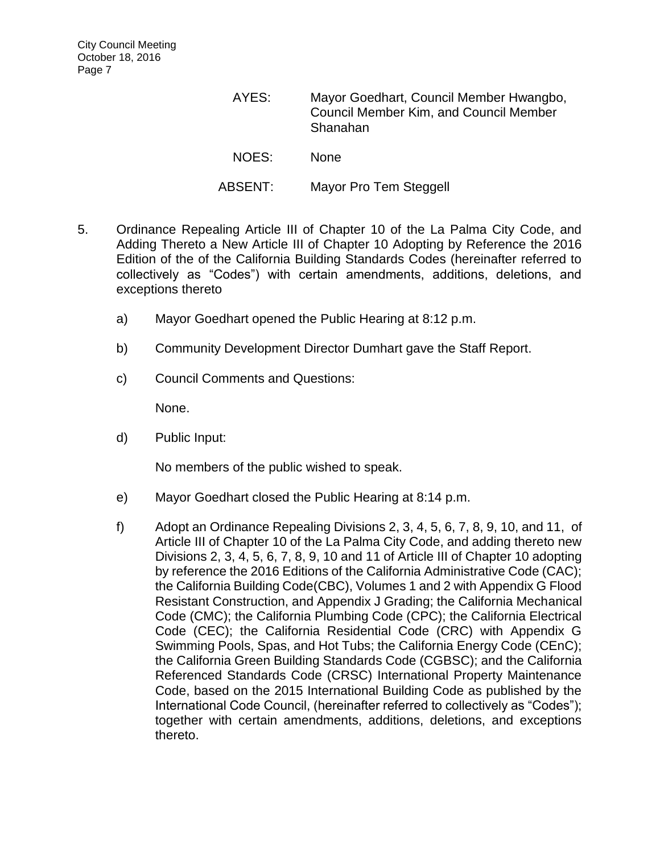| AYES:   | Mayor Goedhart, Council Member Hwangbo,<br>Council Member Kim, and Council Member<br>Shanahan |
|---------|-----------------------------------------------------------------------------------------------|
| NOES:   | <b>None</b>                                                                                   |
| ABSENT: | Mayor Pro Tem Steggell                                                                        |

- 5. [Ordinance Repealing Article III of Chapter 10 of the La Palma City Code, and](http://lapalma.granicus.com/MediaPlayer.php?view_id=&clip_id=1038&meta_id=136868)  [Adding Thereto a New Article III of Chapter 10 Adopting by Reference the 2016](http://lapalma.granicus.com/MediaPlayer.php?view_id=&clip_id=1038&meta_id=136868)  [Edition of the of the California Building Standards Codes \(hereinafter referred to](http://lapalma.granicus.com/MediaPlayer.php?view_id=&clip_id=1038&meta_id=136868)  [collectively as "Codes"\) with certain amendments, additions, deletions, and](http://lapalma.granicus.com/MediaPlayer.php?view_id=&clip_id=1038&meta_id=136868)  [exceptions thereto](http://lapalma.granicus.com/MediaPlayer.php?view_id=&clip_id=1038&meta_id=136868)
	- a) [Mayor Goedhart opened the Public Hearing at 8:12 p.m.](http://lapalma.granicus.com/MediaPlayer.php?view_id=&clip_id=1038&meta_id=136869)
	- b) [Community Development Director Dumhart gave the Staff Report.](http://lapalma.granicus.com/MediaPlayer.php?view_id=&clip_id=1038&meta_id=136870)
	- c) [Council Comments and Questions:](http://lapalma.granicus.com/MediaPlayer.php?view_id=&clip_id=1038&meta_id=136871)

None.

d) [Public Input:](http://lapalma.granicus.com/MediaPlayer.php?view_id=&clip_id=1038&meta_id=136872)

No members of the public wished to speak.

- e) [Mayor Goedhart closed the Public Hearing at 8:14 p.m.](http://lapalma.granicus.com/MediaPlayer.php?view_id=&clip_id=1038&meta_id=136874)
- f) Adopt an Ordinance Repealing Divisions 2, 3, 4, 5, 6, 7, 8, 9, 10, and 11, of Article III of Chapter 10 of the La Palma City Code, and adding thereto new Divisions 2, 3, 4, 5, 6, 7, 8, 9, 10 and 11 of Article III of Chapter 10 adopting by reference the 2016 Editions of the California Administrative Code (CAC); the California Building Code(CBC), Volumes 1 and 2 with Appendix G Flood Resistant Construction, and Appendix J Grading; the California Mechanical Code (CMC); the California Plumbing Code (CPC); the California Electrical Code (CEC); the California Residential Code (CRC) with Appendix G Swimming Pools, Spas, and Hot Tubs; the California Energy Code (CEnC); the California Green Building Standards Code (CGBSC); and the California Referenced Standards Code (CRSC) International Property Maintenance Code, based on the 2015 International Building Code as published by the International Code Council, (hereinafter referred to collectively as "Codes"); together with certain amendments, additions, deletions, and exceptions thereto.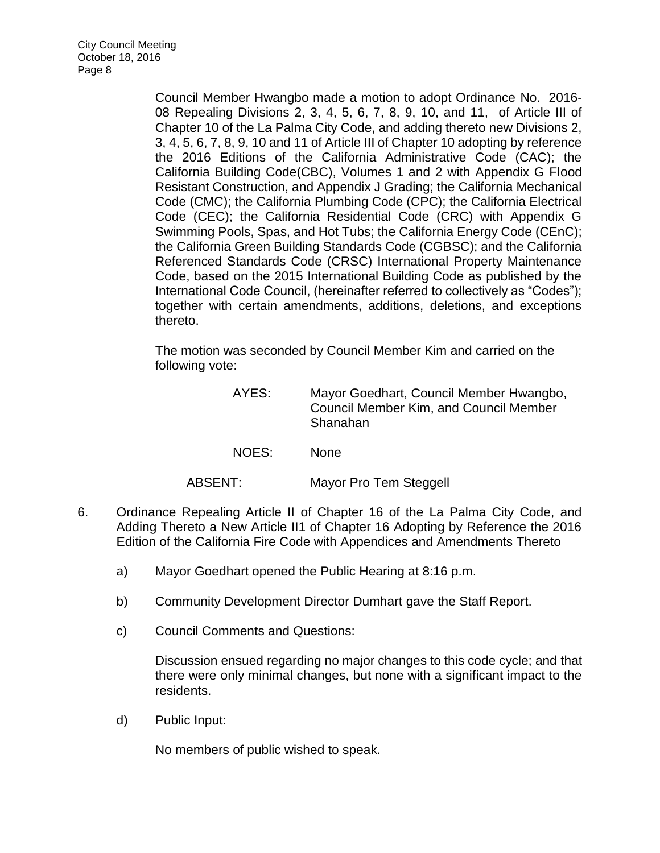Council Member Hwangbo made a motion to adopt Ordinance No. 2016- 08 Repealing Divisions 2, 3, 4, 5, 6, 7, 8, 9, 10, and 11, of Article III of Chapter 10 of the La Palma City Code, and adding thereto new Divisions 2, 3, 4, 5, 6, 7, 8, 9, 10 and 11 of Article III of Chapter 10 adopting by reference the 2016 Editions of the California Administrative Code (CAC); the California Building Code(CBC), Volumes 1 and 2 with Appendix G Flood Resistant Construction, and Appendix J Grading; the California Mechanical Code (CMC); the California Plumbing Code (CPC); the California Electrical Code (CEC); the California Residential Code (CRC) with Appendix G Swimming Pools, Spas, and Hot Tubs; the California Energy Code (CEnC); the California Green Building Standards Code (CGBSC); and the California Referenced Standards Code (CRSC) International Property Maintenance Code, based on the 2015 International Building Code as published by the International Code Council, (hereinafter referred to collectively as "Codes"); together with certain amendments, additions, deletions, and exceptions thereto.

The motion was seconded by Council Member Kim and carried on the following vote:

| AYES:   | Mayor Goedhart, Council Member Hwangbo,<br><b>Council Member Kim, and Council Member</b><br>Shanahan |
|---------|------------------------------------------------------------------------------------------------------|
| NOES:   | <b>None</b>                                                                                          |
| ABSENT: | Mayor Pro Tem Steggell                                                                               |

- 6. Ordinance Repealing Article II [of Chapter 16 of the La Palma City Code, and](http://lapalma.granicus.com/MediaPlayer.php?view_id=&clip_id=1038&meta_id=136876)  [Adding Thereto a New Article II1 of Chapter 16 Adopting by Reference the 2016](http://lapalma.granicus.com/MediaPlayer.php?view_id=&clip_id=1038&meta_id=136876)  [Edition of the California Fire Code with Appendices and Amendments Thereto](http://lapalma.granicus.com/MediaPlayer.php?view_id=&clip_id=1038&meta_id=136876)
	- a) [Mayor Goedhart opened the Public Hearing at 8:16 p.m.](http://lapalma.granicus.com/MediaPlayer.php?view_id=&clip_id=1038&meta_id=136877)
	- b) [Community Development Director Dumhart](http://lapalma.granicus.com/MediaPlayer.php?view_id=&clip_id=1038&meta_id=136878) gave the Staff Report.
	- c) [Council Comments and Questions:](http://lapalma.granicus.com/MediaPlayer.php?view_id=&clip_id=1038&meta_id=136883)

Discussion ensued regarding no major changes to this code cycle; and that there were only minimal changes, but none with a significant impact to the residents.

d) [Public Input:](http://lapalma.granicus.com/MediaPlayer.php?view_id=&clip_id=1038&meta_id=136879)

No members of public wished to speak.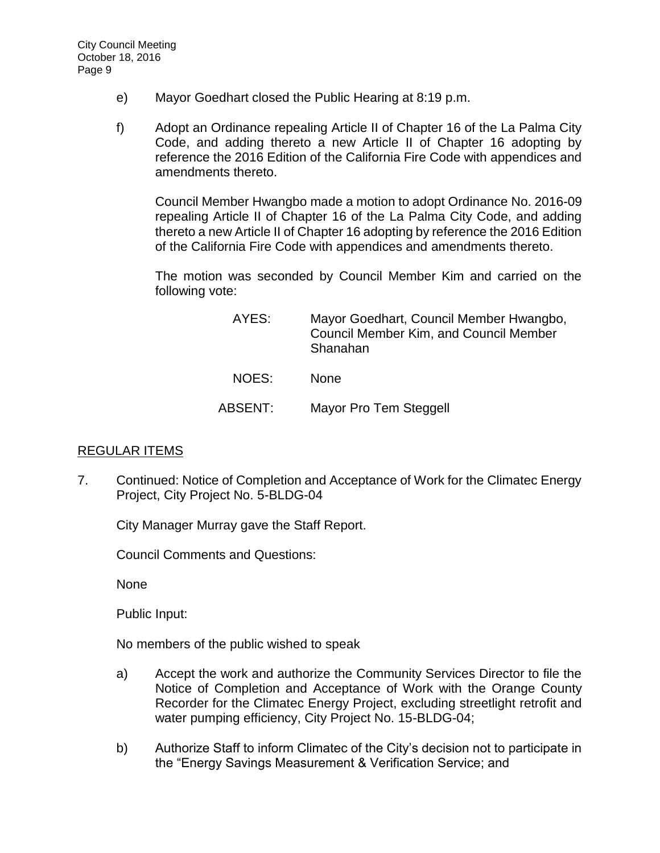- e) [Mayor Goedhart closed the Public Hearing at 8:19 p.m.](http://lapalma.granicus.com/MediaPlayer.php?view_id=&clip_id=1038&meta_id=136882)
- f) [Adopt an Ordinance repealing Article II of Chapter 16 of the La Palma City](http://lapalma.granicus.com/MediaPlayer.php?view_id=&clip_id=1038&meta_id=136884)  [Code, and adding thereto a new Article II of Chapter 16 adopting by](http://lapalma.granicus.com/MediaPlayer.php?view_id=&clip_id=1038&meta_id=136884)  [reference the 2016 Edition of the California Fire Code with appendices and](http://lapalma.granicus.com/MediaPlayer.php?view_id=&clip_id=1038&meta_id=136884)  [amendments thereto.](http://lapalma.granicus.com/MediaPlayer.php?view_id=&clip_id=1038&meta_id=136884)

Council Member Hwangbo made a motion to adopt Ordinance No. 2016-09 repealing Article II of Chapter 16 of the La Palma City Code, and adding thereto a new Article II of Chapter 16 adopting by reference the 2016 Edition of the California Fire Code with appendices and amendments thereto.

The motion was seconded by Council Member Kim and carried on the following vote:

| AYES:   | Mayor Goedhart, Council Member Hwangbo,<br><b>Council Member Kim, and Council Member</b><br>Shanahan |
|---------|------------------------------------------------------------------------------------------------------|
| NOES:   | <b>None</b>                                                                                          |
| ABSENT: | Mayor Pro Tem Steggell                                                                               |

# [REGULAR ITEMS](http://lapalma.granicus.com/MediaPlayer.php?view_id=&clip_id=1038&meta_id=136885)

7. [Continued: Notice of Completion and Acceptance of Work for the Climatec Energy](http://lapalma.granicus.com/MediaPlayer.php?view_id=&clip_id=1038&meta_id=136886)  [Project, City Project No. 5-BLDG-04](http://lapalma.granicus.com/MediaPlayer.php?view_id=&clip_id=1038&meta_id=136886)

City Manager Murray gave the Staff Report.

Council Comments and Questions:

None

Public Input:

No members of the public wished to speak

- a) Accept the work and authorize the Community Services Director to file the Notice of Completion and Acceptance of Work with the Orange County Recorder for the Climatec Energy Project, excluding streetlight retrofit and water pumping efficiency, City Project No. 15-BLDG-04;
- b) Authorize Staff to inform Climatec of the City's decision not to participate in the "Energy Savings Measurement & Verification Service; and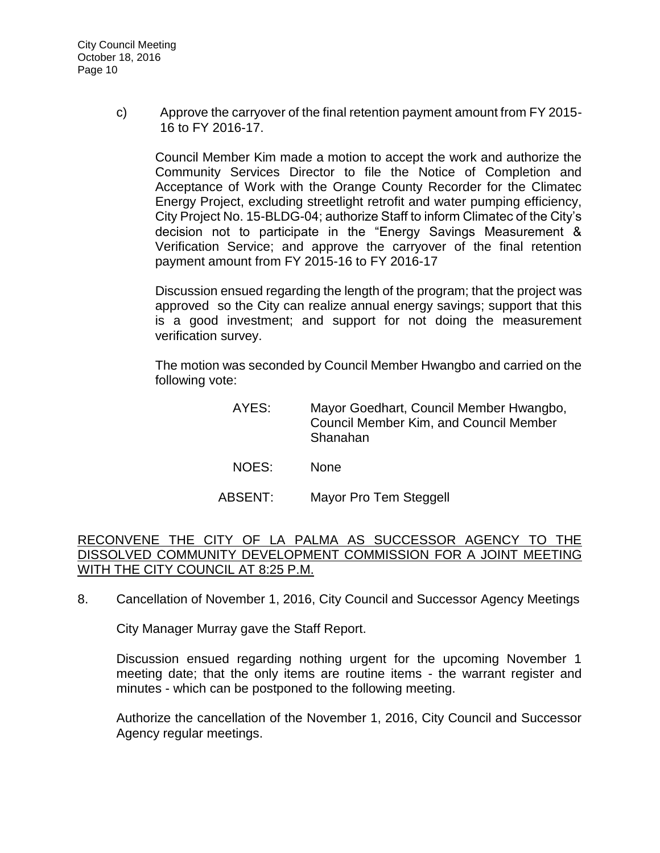c) Approve the carryover of the final retention payment amount from FY 2015- 16 to FY 2016-17.

Council Member Kim made a motion to accept the work and authorize the Community Services Director to file the Notice of Completion and Acceptance of Work with the Orange County Recorder for the Climatec Energy Project, excluding streetlight retrofit and water pumping efficiency, City Project No. 15-BLDG-04; authorize Staff to inform Climatec of the City's decision not to participate in the "Energy Savings Measurement & Verification Service; and approve the carryover of the final retention payment amount from FY 2015-16 to FY 2016-17

Discussion ensued regarding the length of the program; that the project was approved so the City can realize annual energy savings; support that this is a good investment; and support for not doing the measurement verification survey.

The motion was seconded by Council Member Hwangbo and carried on the following vote:

- AYES: Mayor Goedhart, Council Member Hwangbo, Council Member Kim, and Council Member Shanahan
- NOES: None
- ABSENT: Mayor Pro Tem Steggell

### RECONVENE THE CITY OF LA PALMA AS SUCCESSOR AGENCY TO THE DISSOLVED COMMUNITY DEVELOPMENT COMMISSION FOR A JOINT MEETING WITH THE CITY COUNCIL AT 8:25 P.M.

8. [Cancellation of November 1, 2016, City Council and Successor Agency Meetings](http://lapalma.granicus.com/MediaPlayer.php?view_id=&clip_id=1038&meta_id=136896)

City Manager Murray gave the Staff Report.

Discussion ensued regarding nothing urgent for the upcoming November 1 meeting date; that the only items are routine items - the warrant register and minutes - which can be postponed to the following meeting.

Authorize the cancellation of the November 1, 2016, City Council and Successor Agency regular meetings.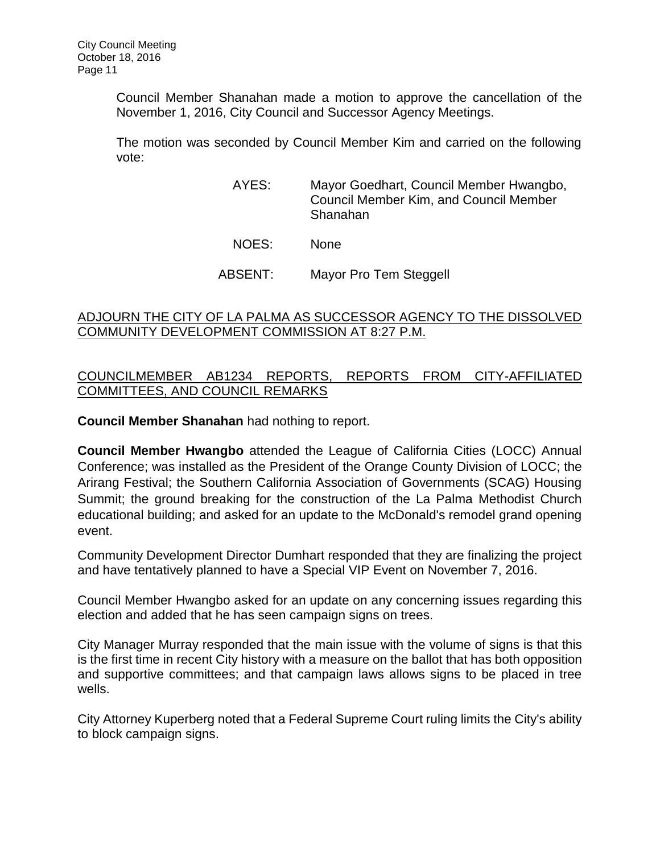Council Member Shanahan made a motion to approve the cancellation of the November 1, 2016, City Council and Successor Agency Meetings.

The motion was seconded by Council Member Kim and carried on the following vote:

- AYES: Mayor Goedhart, Council Member Hwangbo, Council Member Kim, and Council Member Shanahan
- NOES: None
- ABSENT: Mayor Pro Tem Steggell

## [ADJOURN THE CITY OF LA PALMA AS SUCCESSOR AGENCY TO THE DISSOLVED](http://lapalma.granicus.com/MediaPlayer.php?view_id=&clip_id=1038&meta_id=136898)  [COMMUNITY DEVELOPMENT COMMISSION AT 8:27 P.M.](http://lapalma.granicus.com/MediaPlayer.php?view_id=&clip_id=1038&meta_id=136898)

## [COUNCILMEMBER AB1234 REPORTS, REPORTS FROM CITY-AFFILIATED](http://lapalma.granicus.com/MediaPlayer.php?view_id=&clip_id=1038&meta_id=136899)  [COMMITTEES, AND COUNCIL REMARKS](http://lapalma.granicus.com/MediaPlayer.php?view_id=&clip_id=1038&meta_id=136899)

**Council Member Shanahan** had nothing to report.

**Council Member Hwangbo** attended the League of California Cities (LOCC) Annual Conference; was installed as the President of the Orange County Division of LOCC; the Arirang Festival; the Southern California Association of Governments (SCAG) Housing Summit; the ground breaking for the construction of the La Palma Methodist Church educational building; and asked for an update to the McDonald's remodel grand opening event.

Community Development Director Dumhart responded that they are finalizing the project and have tentatively planned to have a Special VIP Event on November 7, 2016.

Council Member Hwangbo asked for an update on any concerning issues regarding this election and added that he has seen campaign signs on trees.

City Manager Murray responded that the main issue with the volume of signs is that this is the first time in recent City history with a measure on the ballot that has both opposition and supportive committees; and that campaign laws allows signs to be placed in tree wells.

City Attorney Kuperberg noted that a Federal Supreme Court ruling limits the City's ability to block campaign signs.